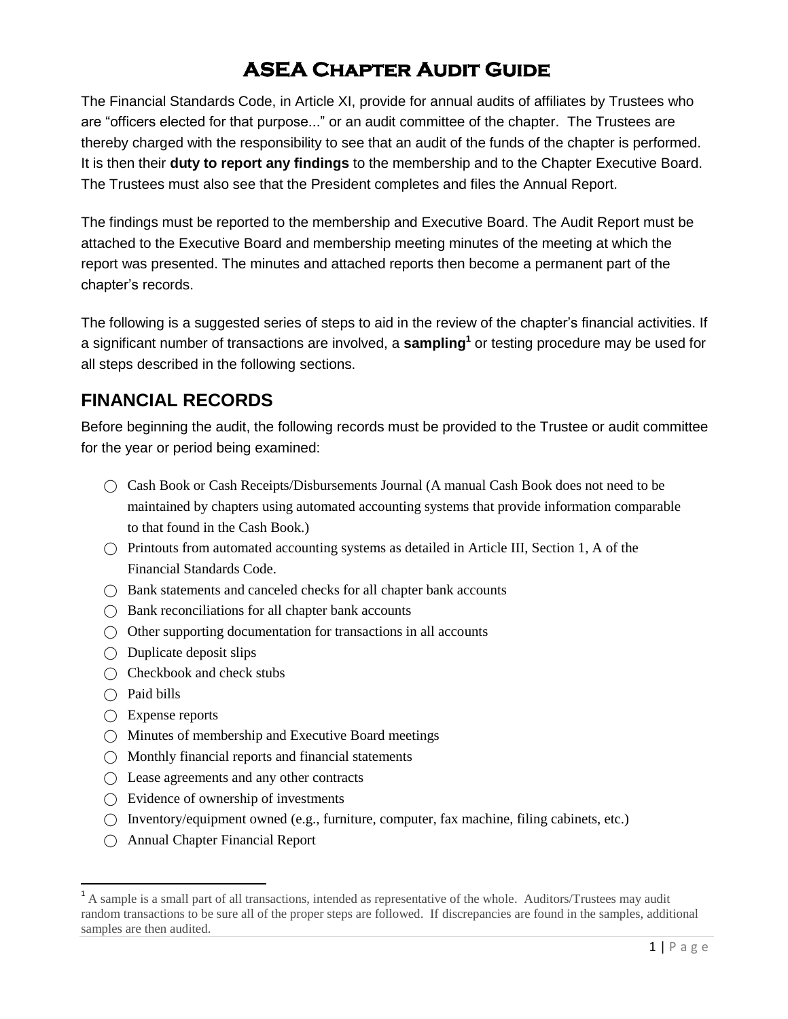# **ASEA Chapter Audit Guide**

The Financial Standards Code, in Article XI, provide for annual audits of affiliates by Trustees who are "officers elected for that purpose..." or an audit committee of the chapter. The Trustees are thereby charged with the responsibility to see that an audit of the funds of the chapter is performed. It is then their **duty to report any findings** to the membership and to the Chapter Executive Board. The Trustees must also see that the President completes and files the Annual Report.

The findings must be reported to the membership and Executive Board. The Audit Report must be attached to the Executive Board and membership meeting minutes of the meeting at which the report was presented. The minutes and attached reports then become a permanent part of the chapter's records.

The following is a suggested series of steps to aid in the review of the chapter's financial activities. If a significant number of transactions are involved, a **sampling<sup>1</sup>** or testing procedure may be used for all steps described in the following sections.

### **FINANCIAL RECORDS**

Before beginning the audit, the following records must be provided to the Trustee or audit committee for the year or period being examined:

- $\bigcap$  Cash Book or Cash Receipts/Disbursements Journal (A manual Cash Book does not need to be maintained by chapters using automated accounting systems that provide information comparable to that found in the Cash Book.)
- $\bigcap$  Printouts from automated accounting systems as detailed in Article III, Section 1, A of the Financial Standards Code.
- ⃝ Bank statements and canceled checks for all chapter bank accounts
- $\bigcirc$  Bank reconciliations for all chapter bank accounts
- $\bigcirc$  Other supporting documentation for transactions in all accounts
- $\bigcap$  Duplicate deposit slips
- ◯ Checkbook and check stubs
- $\bigcap$  Paid bills

 $\overline{\phantom{a}}$ 

- $\bigcirc$  Expense reports
- ⃝ Minutes of membership and Executive Board meetings
- ⃝ Monthly financial reports and financial statements
- $\bigcirc$  Lease agreements and any other contracts
- $\bigcap$  Evidence of ownership of investments
- ⃝ Inventory/equipment owned (e.g., furniture, computer, fax machine, filing cabinets, etc.)
- ⃝ Annual Chapter Financial Report

<sup>&</sup>lt;sup>1</sup> A sample is a small part of all transactions, intended as representative of the whole. Auditors/Trustees may audit random transactions to be sure all of the proper steps are followed. If discrepancies are found in the samples, additional samples are then audited.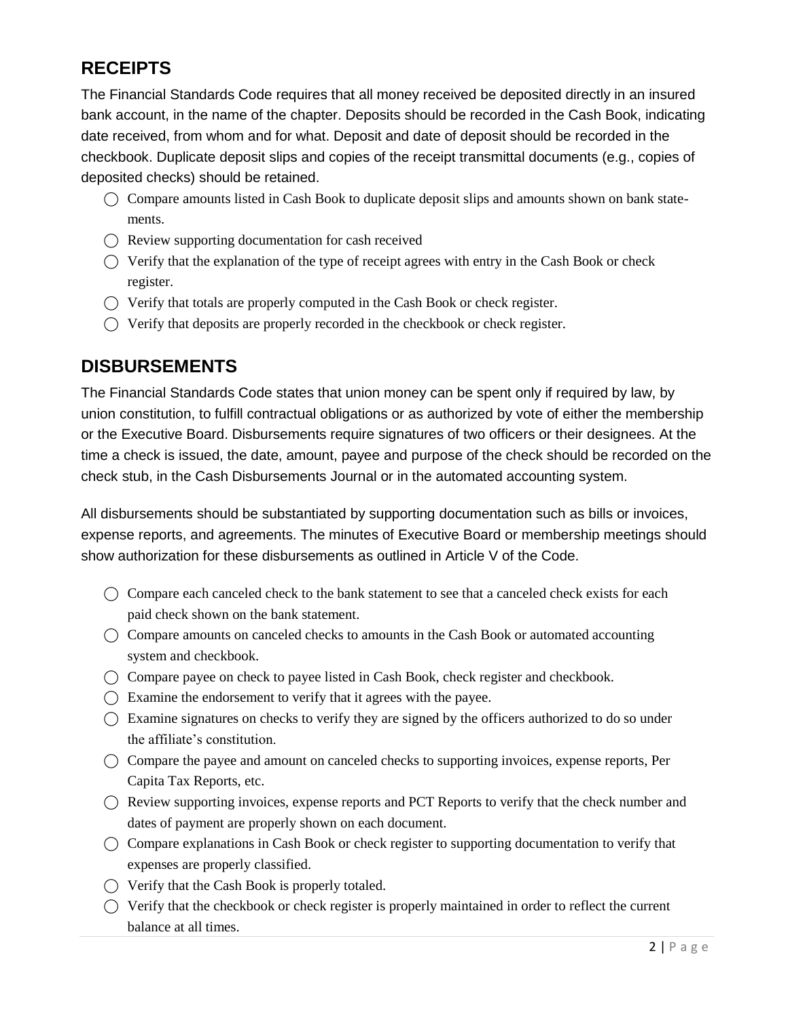## **RECEIPTS**

The Financial Standards Code requires that all money received be deposited directly in an insured bank account, in the name of the chapter. Deposits should be recorded in the Cash Book, indicating date received, from whom and for what. Deposit and date of deposit should be recorded in the checkbook. Duplicate deposit slips and copies of the receipt transmittal documents (e.g., copies of deposited checks) should be retained.

- ⃝ Compare amounts listed in Cash Book to duplicate deposit slips and amounts shown on bank statements.
- $\bigcap$  Review supporting documentation for cash received
- $\bigcirc$  Verify that the explanation of the type of receipt agrees with entry in the Cash Book or check register.
- $\bigcirc$  Verify that totals are properly computed in the Cash Book or check register.
- ⃝ Verify that deposits are properly recorded in the checkbook or check register.

#### **DISBURSEMENTS**

The Financial Standards Code states that union money can be spent only if required by law, by union constitution, to fulfill contractual obligations or as authorized by vote of either the membership or the Executive Board. Disbursements require signatures of two officers or their designees. At the time a check is issued, the date, amount, payee and purpose of the check should be recorded on the check stub, in the Cash Disbursements Journal or in the automated accounting system.

All disbursements should be substantiated by supporting documentation such as bills or invoices, expense reports, and agreements. The minutes of Executive Board or membership meetings should show authorization for these disbursements as outlined in Article V of the Code.

- $\bigcirc$  Compare each canceled check to the bank statement to see that a canceled check exists for each paid check shown on the bank statement.
- $\bigcirc$  Compare amounts on canceled checks to amounts in the Cash Book or automated accounting system and checkbook.
- ⃝ Compare payee on check to payee listed in Cash Book, check register and checkbook.
- $\bigcap$  Examine the endorsement to verify that it agrees with the payee.
- $\bigcirc$  Examine signatures on checks to verify they are signed by the officers authorized to do so under the affiliate's constitution.
- $\bigcirc$  Compare the payee and amount on canceled checks to supporting invoices, expense reports, Per Capita Tax Reports, etc.
- $\bigcap$  Review supporting invoices, expense reports and PCT Reports to verify that the check number and dates of payment are properly shown on each document.
- $\bigcirc$  Compare explanations in Cash Book or check register to supporting documentation to verify that expenses are properly classified.
- $\bigcirc$  Verify that the Cash Book is properly totaled.
- ⃝ Verify that the checkbook or check register is properly maintained in order to reflect the current balance at all times.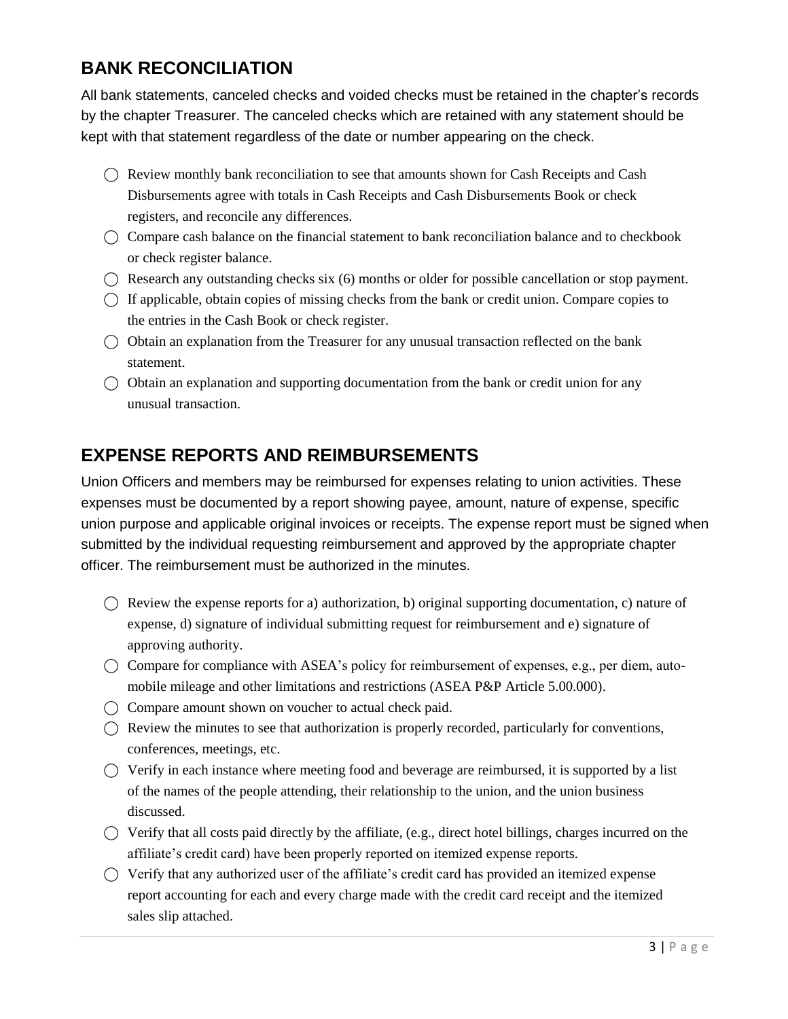### **BANK RECONCILIATION**

All bank statements, canceled checks and voided checks must be retained in the chapter's records by the chapter Treasurer. The canceled checks which are retained with any statement should be kept with that statement regardless of the date or number appearing on the check.

- $\bigcap$  Review monthly bank reconciliation to see that amounts shown for Cash Receipts and Cash Disbursements agree with totals in Cash Receipts and Cash Disbursements Book or check registers, and reconcile any differences.
- $\bigcirc$  Compare cash balance on the financial statement to bank reconciliation balance and to checkbook or check register balance.
- $\bigcap$  Research any outstanding checks six (6) months or older for possible cancellation or stop payment.
- $\bigcap$  If applicable, obtain copies of missing checks from the bank or credit union. Compare copies to the entries in the Cash Book or check register.
- $\bigcirc$  Obtain an explanation from the Treasurer for any unusual transaction reflected on the bank statement.
- $\bigcirc$  Obtain an explanation and supporting documentation from the bank or credit union for any unusual transaction.

### **EXPENSE REPORTS AND REIMBURSEMENTS**

Union Officers and members may be reimbursed for expenses relating to union activities. These expenses must be documented by a report showing payee, amount, nature of expense, specific union purpose and applicable original invoices or receipts. The expense report must be signed when submitted by the individual requesting reimbursement and approved by the appropriate chapter officer. The reimbursement must be authorized in the minutes.

- $\bigcap$  Review the expense reports for a) authorization, b) original supporting documentation, c) nature of expense, d) signature of individual submitting request for reimbursement and e) signature of approving authority.
- $\bigcirc$  Compare for compliance with ASEA's policy for reimbursement of expenses, e.g., per diem, automobile mileage and other limitations and restrictions (ASEA P&P Article 5.00.000).
- ⃝ Compare amount shown on voucher to actual check paid.
- $\bigcirc$  Review the minutes to see that authorization is properly recorded, particularly for conventions, conferences, meetings, etc.
- $\bigcirc$  Verify in each instance where meeting food and beverage are reimbursed, it is supported by a list of the names of the people attending, their relationship to the union, and the union business discussed.
- $\bigcirc$  Verify that all costs paid directly by the affiliate, (e.g., direct hotel billings, charges incurred on the affiliate's credit card) have been properly reported on itemized expense reports.
- $\bigcirc$  Verify that any authorized user of the affiliate's credit card has provided an itemized expense report accounting for each and every charge made with the credit card receipt and the itemized sales slip attached.